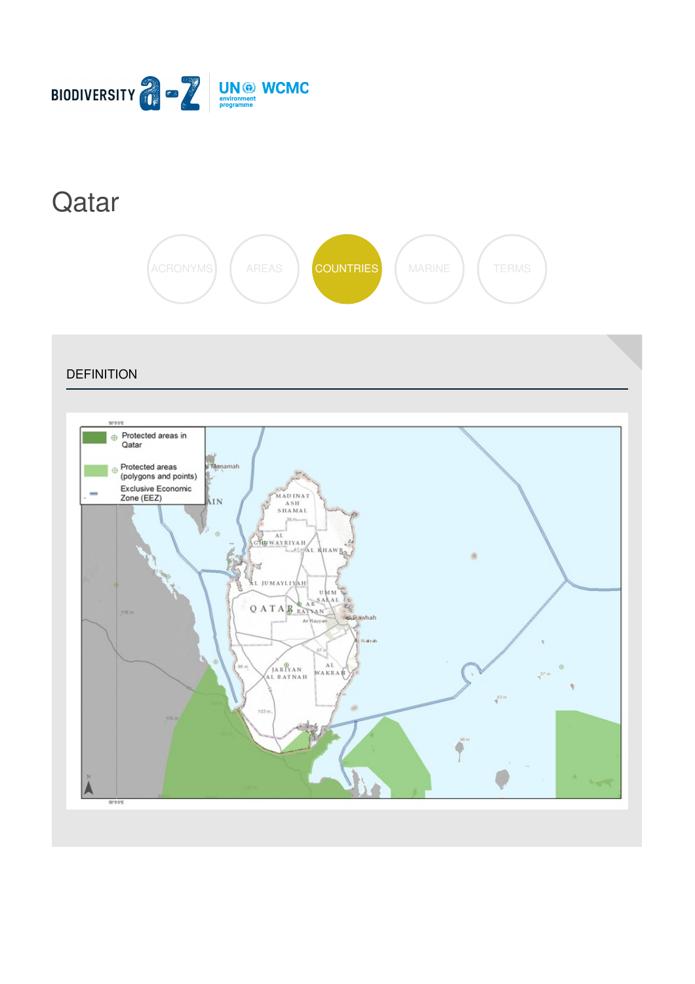

 $50°0°0°$ 

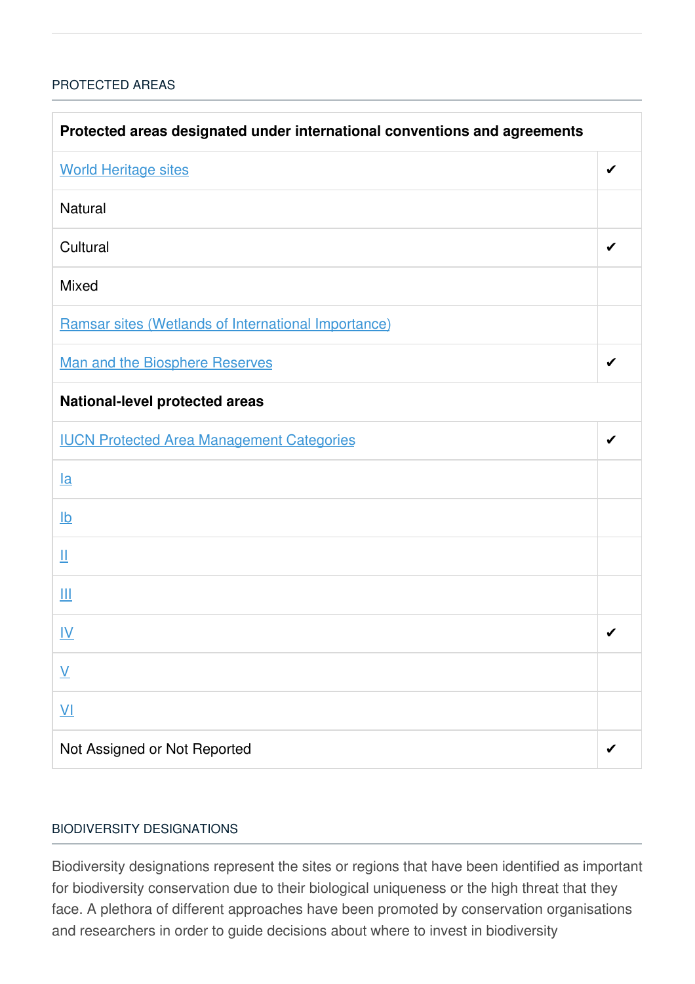## [PROTECTED](javascript:void(0)) AREAS

| Protected areas designated under international conventions and agreements |   |  |
|---------------------------------------------------------------------------|---|--|
| <b>World Heritage sites</b>                                               | ✔ |  |
| <b>Natural</b>                                                            |   |  |
| Cultural                                                                  | ✔ |  |
| <b>Mixed</b>                                                              |   |  |
| Ramsar sites (Wetlands of International Importance)                       |   |  |
| Man and the Biosphere Reserves                                            | ✔ |  |
| <b>National-level protected areas</b>                                     |   |  |
| <b>IUCN Protected Area Management Categories</b>                          | ✔ |  |
| $l$ a                                                                     |   |  |
| $\underline{\mathsf{lb}}$                                                 |   |  |
| Щ                                                                         |   |  |
| Ш                                                                         |   |  |
| <u>IV</u>                                                                 | ✔ |  |
| $\underline{\mathsf{V}}$                                                  |   |  |
| $\underline{\mathsf{V}}$                                                  |   |  |
| Not Assigned or Not Reported                                              |   |  |

### BIODIVERSITY [DESIGNATIONS](javascript:void(0))

Biodiversity designations represent the sites or regions that have been identified as important for biodiversity conservation due to their biological uniqueness or the high threat that they face. A plethora of different approaches have been promoted by conservation organisations and researchers in order to guide decisions about where to invest in biodiversity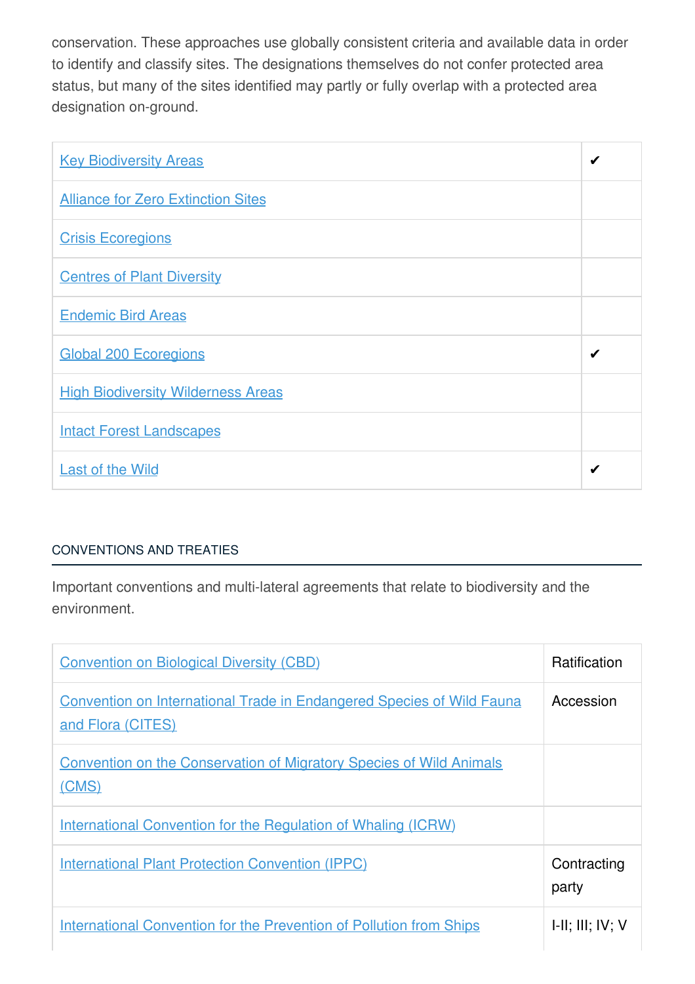conservation. These approaches use globally consistent criteria and available data in order to identify and classify sites. The designations themselves do not confer protected area status, but many of the sites identified may partly or fully overlap with a protected area designation on-ground.

| <b>Key Biodiversity Areas</b>             | ✔ |
|-------------------------------------------|---|
| <b>Alliance for Zero Extinction Sites</b> |   |
| <b>Crisis Ecoregions</b>                  |   |
| <b>Centres of Plant Diversity</b>         |   |
| <b>Endemic Bird Areas</b>                 |   |
| <b>Global 200 Ecoregions</b>              | ✔ |
| <b>High Biodiversity Wilderness Areas</b> |   |
| <b>Intact Forest Landscapes</b>           |   |
| <b>Last of the Wild</b>                   | ✔ |

# [CONVENTIONS](javascript:void(0)) AND TREATIES

Important conventions and multi-lateral agreements that relate to biodiversity and the environment.

| <b>Convention on Biological Diversity (CBD)</b>                                                   | <b>Ratification</b>         |
|---------------------------------------------------------------------------------------------------|-----------------------------|
| <b>Convention on International Trade in Endangered Species of Wild Fauna</b><br>and Flora (CITES) | Accession                   |
| <b>Convention on the Conservation of Migratory Species of Wild Animals</b><br>(CMS)               |                             |
| <b>International Convention for the Regulation of Whaling (ICRW)</b>                              |                             |
| <b>International Plant Protection Convention (IPPC)</b>                                           | Contracting<br>party        |
| <b>International Convention for the Prevention of Pollution from Ships</b>                        | $I-II$ ; $III$ ; $IV$ ; $V$ |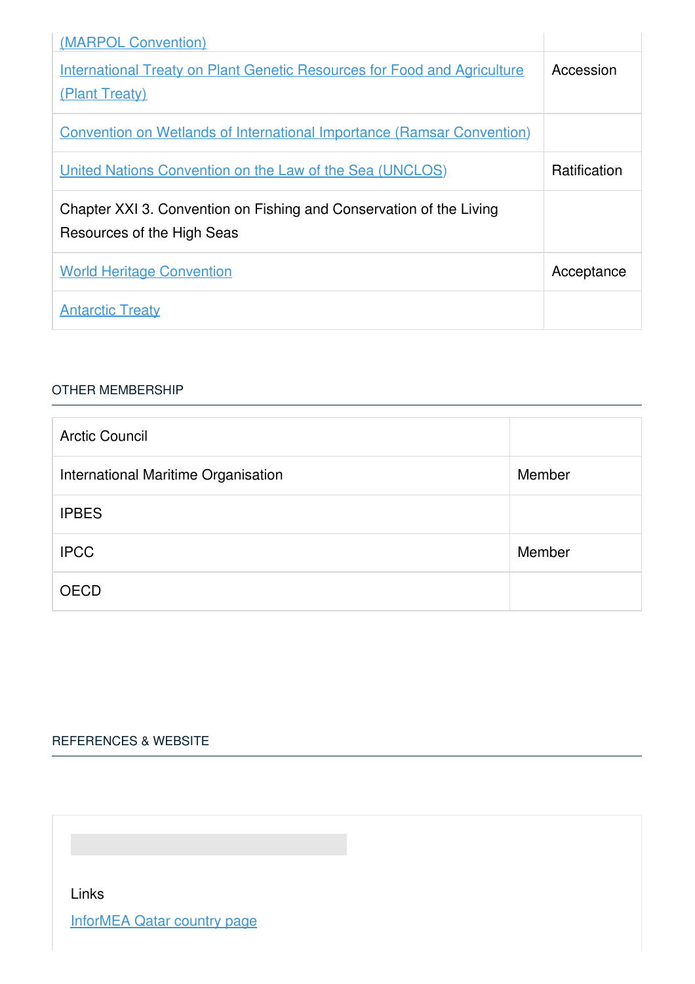| (MARPOL Convention)                                                                               |                     |
|---------------------------------------------------------------------------------------------------|---------------------|
| <b>International Treaty on Plant Genetic Resources for Food and Agriculture</b><br>(Plant Treaty) | Accession           |
| <b>Convention on Wetlands of International Importance (Ramsar Convention)</b>                     |                     |
| United Nations Convention on the Law of the Sea (UNCLOS)                                          | <b>Ratification</b> |
| Chapter XXI 3. Convention on Fishing and Conservation of the Living<br>Resources of the High Seas |                     |
| <b>World Heritage Convention</b>                                                                  | Acceptance          |
| <b>Antarctic Treaty</b>                                                                           |                     |

#### OTHER [MEMBERSHIP](javascript:void(0))

| <b>Arctic Council</b>               |        |
|-------------------------------------|--------|
| International Maritime Organisation | Member |
| <b>IPBES</b>                        |        |
| <b>IPCC</b>                         | Member |
| <b>OECD</b>                         |        |

# [REFERENCES](javascript:void(0)) & WEBSITE

Links

[InforMEA](https://www.informea.org/en/countries/qa) Qatar country page